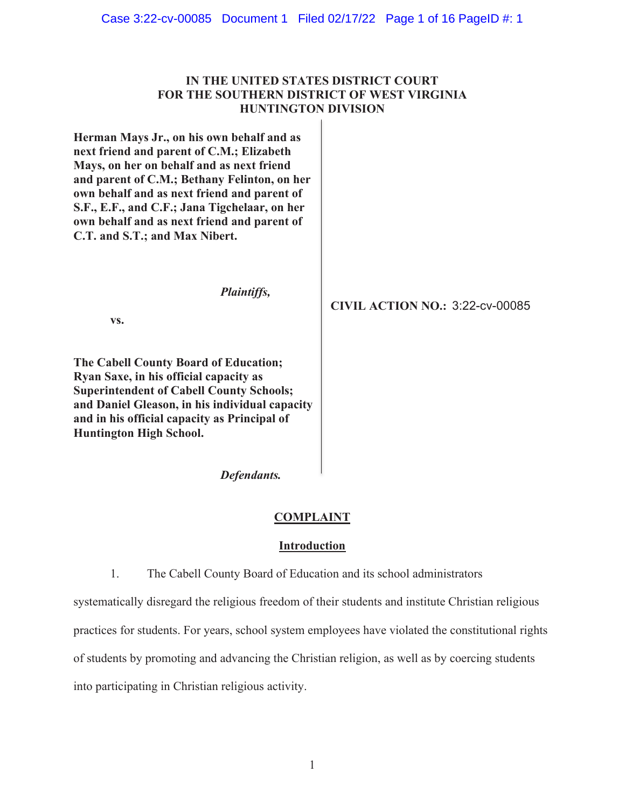| Case 3:22-cv-00085  Document 1  Filed 02/17/22  Page 1 of 16  PageID #: 1 |  |  |  |  |
|---------------------------------------------------------------------------|--|--|--|--|
|---------------------------------------------------------------------------|--|--|--|--|

# **IN THE UNITED STATES DISTRICT COURT FOR THE SOUTHERN DISTRICT OF WEST VIRGINIA HUNTINGTON DIVISION**

**Herman Mays Jr., on his own behalf and as next friend and parent of C.M.; Elizabeth Mays, on her on behalf and as next friend and parent of C.M.; Bethany Felinton, on her own behalf and as next friend and parent of S.F., E.F., and C.F.; Jana Tigchelaar, on her own behalf and as next friend and parent of C.T. and S.T.; and Max Nibert.**

*Plaintiffs,*

**vs.**

**The Cabell County Board of Education; Ryan Saxe, in his official capacity as Superintendent of Cabell County Schools; and Daniel Gleason, in his individual capacity and in his official capacity as Principal of Huntington High School.**

**CIVIL ACTION NO.:** 3:22-cv-00085

*Defendants.*

## **COMPLAINT**

## **Introduction**

1. The Cabell County Board of Education and its school administrators

systematically disregard the religious freedom of their students and institute Christian religious practices for students. For years, school system employees have violated the constitutional rights of students by promoting and advancing the Christian religion, as well as by coercing students into participating in Christian religious activity.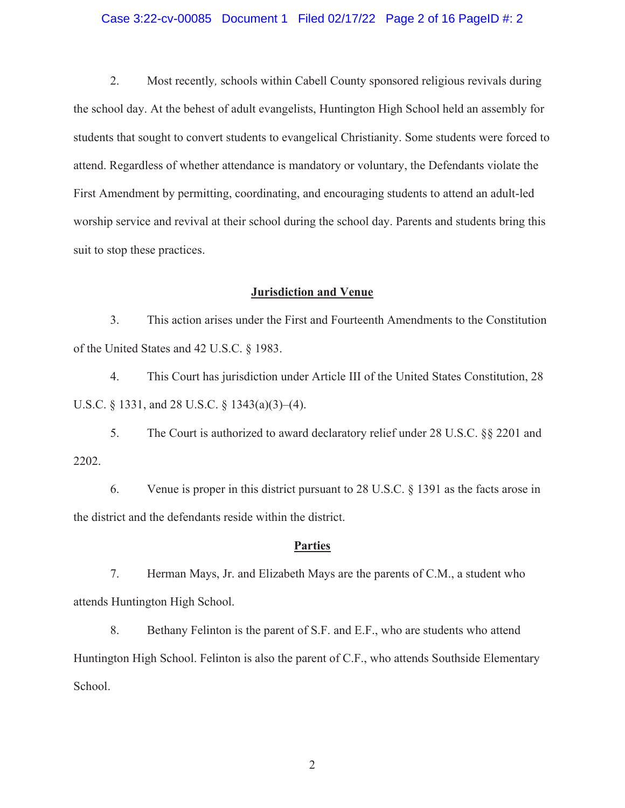## Case 3:22-cv-00085 Document 1 Filed 02/17/22 Page 2 of 16 PageID #: 2

2. Most recently*,* schools within Cabell County sponsored religious revivals during the school day. At the behest of adult evangelists, Huntington High School held an assembly for students that sought to convert students to evangelical Christianity. Some students were forced to attend. Regardless of whether attendance is mandatory or voluntary, the Defendants violate the First Amendment by permitting, coordinating, and encouraging students to attend an adult-led worship service and revival at their school during the school day. Parents and students bring this suit to stop these practices.

## **Jurisdiction and Venue**

3. This action arises under the First and Fourteenth Amendments to the Constitution of the United States and 42 U.S.C. § 1983.

4. This Court has jurisdiction under Article III of the United States Constitution, 28 U.S.C. § 1331, and 28 U.S.C. § 1343(a)(3)–(4).

5. The Court is authorized to award declaratory relief under 28 U.S.C. §§ 2201 and 2202.

6. Venue is proper in this district pursuant to 28 U.S.C. § 1391 as the facts arose in the district and the defendants reside within the district.

## **Parties**

7. Herman Mays, Jr. and Elizabeth Mays are the parents of C.M., a student who attends Huntington High School.

8. Bethany Felinton is the parent of S.F. and E.F., who are students who attend Huntington High School. Felinton is also the parent of C.F., who attends Southside Elementary School.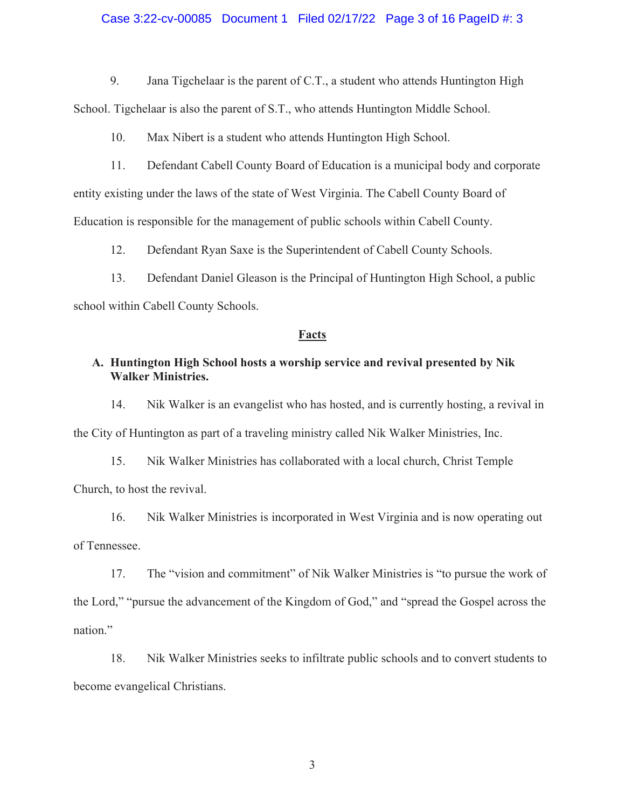## Case 3:22-cv-00085 Document 1 Filed 02/17/22 Page 3 of 16 PageID #: 3

9. Jana Tigchelaar is the parent of C.T., a student who attends Huntington High School. Tigchelaar is also the parent of S.T., who attends Huntington Middle School.

10. Max Nibert is a student who attends Huntington High School.

11. Defendant Cabell County Board of Education is a municipal body and corporate entity existing under the laws of the state of West Virginia. The Cabell County Board of Education is responsible for the management of public schools within Cabell County.

12. Defendant Ryan Saxe is the Superintendent of Cabell County Schools.

13. Defendant Daniel Gleason is the Principal of Huntington High School, a public school within Cabell County Schools.

### **Facts**

# **A. Huntington High School hosts a worship service and revival presented by Nik Walker Ministries.**

14. Nik Walker is an evangelist who has hosted, and is currently hosting, a revival in the City of Huntington as part of a traveling ministry called Nik Walker Ministries, Inc.

15. Nik Walker Ministries has collaborated with a local church, Christ Temple Church, to host the revival.

16. Nik Walker Ministries is incorporated in West Virginia and is now operating out of Tennessee.

17. The "vision and commitment" of Nik Walker Ministries is "to pursue the work of the Lord," "pursue the advancement of the Kingdom of God," and "spread the Gospel across the nation."

18. Nik Walker Ministries seeks to infiltrate public schools and to convert students to become evangelical Christians.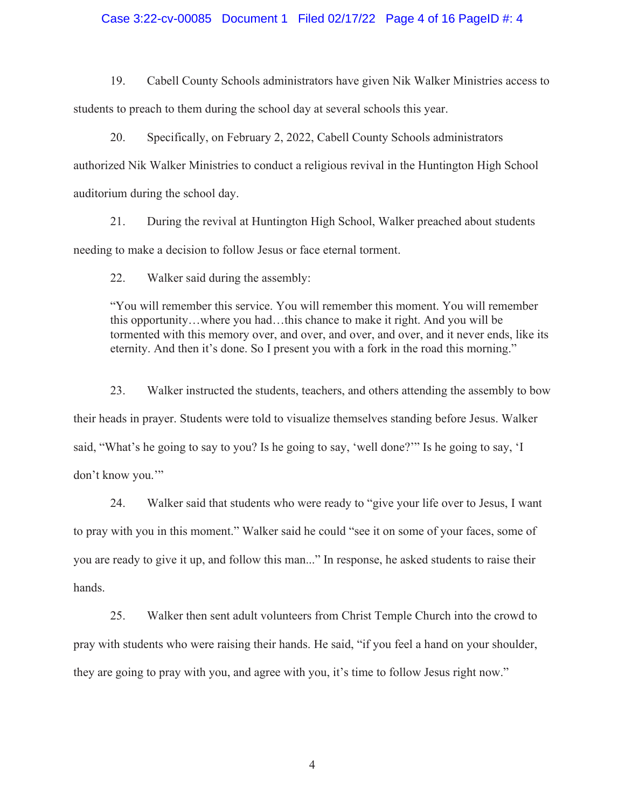## Case 3:22-cv-00085 Document 1 Filed 02/17/22 Page 4 of 16 PageID #: 4

19. Cabell County Schools administrators have given Nik Walker Ministries access to students to preach to them during the school day at several schools this year.

20. Specifically, on February 2, 2022, Cabell County Schools administrators authorized Nik Walker Ministries to conduct a religious revival in the Huntington High School auditorium during the school day.

21. During the revival at Huntington High School, Walker preached about students needing to make a decision to follow Jesus or face eternal torment.

22. Walker said during the assembly:

"You will remember this service. You will remember this moment. You will remember this opportunity…where you had…this chance to make it right. And you will be tormented with this memory over, and over, and over, and over, and it never ends, like its eternity. And then it's done. So I present you with a fork in the road this morning."

23. Walker instructed the students, teachers, and others attending the assembly to bow their heads in prayer. Students were told to visualize themselves standing before Jesus. Walker said, "What's he going to say to you? Is he going to say, 'well done?'" Is he going to say, 'I don't know you.'"

24. Walker said that students who were ready to "give your life over to Jesus, I want to pray with you in this moment." Walker said he could "see it on some of your faces, some of you are ready to give it up, and follow this man..." In response, he asked students to raise their hands.

25. Walker then sent adult volunteers from Christ Temple Church into the crowd to pray with students who were raising their hands. He said, "if you feel a hand on your shoulder, they are going to pray with you, and agree with you, it's time to follow Jesus right now."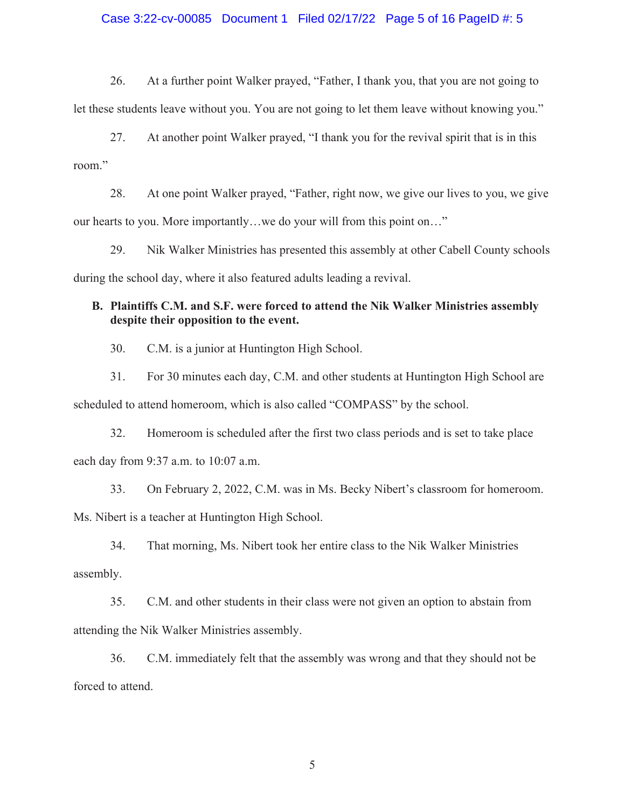## Case 3:22-cv-00085 Document 1 Filed 02/17/22 Page 5 of 16 PageID #: 5

26. At a further point Walker prayed, "Father, I thank you, that you are not going to let these students leave without you. You are not going to let them leave without knowing you."

27. At another point Walker prayed, "I thank you for the revival spirit that is in this room."

28. At one point Walker prayed, "Father, right now, we give our lives to you, we give our hearts to you. More importantly…we do your will from this point on…"

29. Nik Walker Ministries has presented this assembly at other Cabell County schools during the school day, where it also featured adults leading a revival.

# **B. Plaintiffs C.M. and S.F. were forced to attend the Nik Walker Ministries assembly despite their opposition to the event.**

30. C.M. is a junior at Huntington High School.

31. For 30 minutes each day, C.M. and other students at Huntington High School are scheduled to attend homeroom, which is also called "COMPASS" by the school.

32. Homeroom is scheduled after the first two class periods and is set to take place each day from 9:37 a.m. to 10:07 a.m.

33. On February 2, 2022, C.M. was in Ms. Becky Nibert's classroom for homeroom. Ms. Nibert is a teacher at Huntington High School.

34. That morning, Ms. Nibert took her entire class to the Nik Walker Ministries assembly.

35. C.M. and other students in their class were not given an option to abstain from attending the Nik Walker Ministries assembly.

36. C.M. immediately felt that the assembly was wrong and that they should not be forced to attend.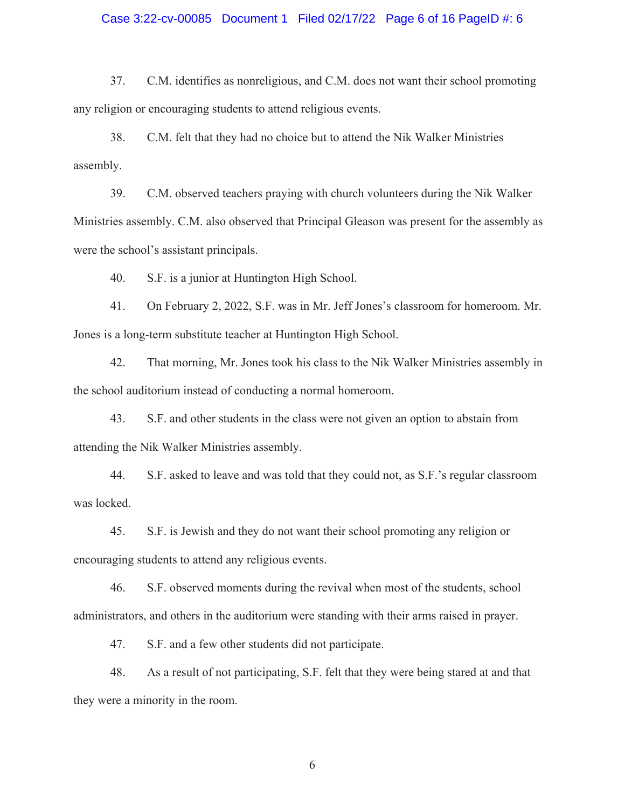## Case 3:22-cv-00085 Document 1 Filed 02/17/22 Page 6 of 16 PageID #: 6

37. C.M. identifies as nonreligious, and C.M. does not want their school promoting any religion or encouraging students to attend religious events.

38. C.M. felt that they had no choice but to attend the Nik Walker Ministries assembly.

39. C.M. observed teachers praying with church volunteers during the Nik Walker Ministries assembly. C.M. also observed that Principal Gleason was present for the assembly as were the school's assistant principals.

40. S.F. is a junior at Huntington High School.

41. On February 2, 2022, S.F. was in Mr. Jeff Jones's classroom for homeroom. Mr. Jones is a long-term substitute teacher at Huntington High School.

42. That morning, Mr. Jones took his class to the Nik Walker Ministries assembly in the school auditorium instead of conducting a normal homeroom.

43. S.F. and other students in the class were not given an option to abstain from attending the Nik Walker Ministries assembly.

44. S.F. asked to leave and was told that they could not, as S.F.'s regular classroom was locked.

45. S.F. is Jewish and they do not want their school promoting any religion or encouraging students to attend any religious events.

46. S.F. observed moments during the revival when most of the students, school administrators, and others in the auditorium were standing with their arms raised in prayer.

47. S.F. and a few other students did not participate.

48. As a result of not participating, S.F. felt that they were being stared at and that they were a minority in the room.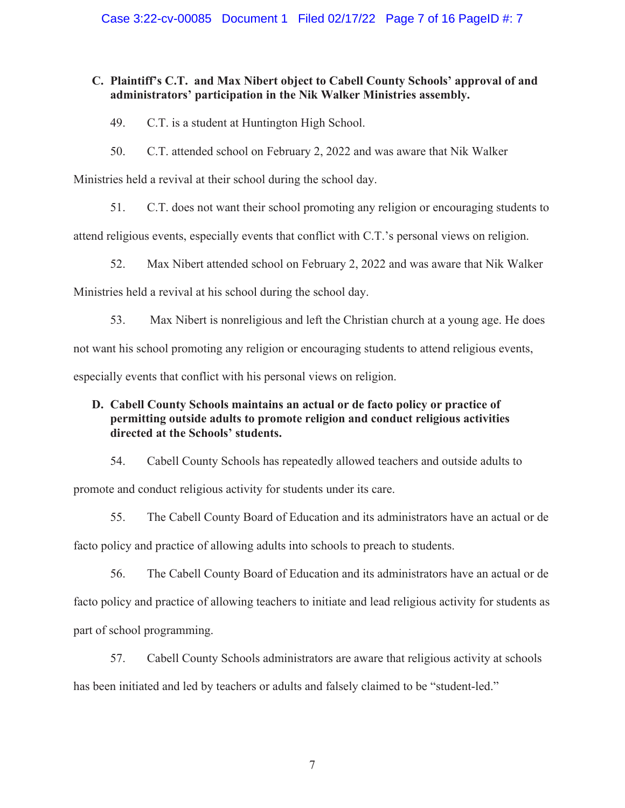# **C. Plaintiff's C.T. and Max Nibert object to Cabell County Schools' approval of and administrators' participation in the Nik Walker Ministries assembly.**

49. C.T. is a student at Huntington High School.

50. C.T. attended school on February 2, 2022 and was aware that Nik Walker

Ministries held a revival at their school during the school day.

51. C.T. does not want their school promoting any religion or encouraging students to

attend religious events, especially events that conflict with C.T.'s personal views on religion.

52. Max Nibert attended school on February 2, 2022 and was aware that Nik Walker

Ministries held a revival at his school during the school day.

53. Max Nibert is nonreligious and left the Christian church at a young age. He does

not want his school promoting any religion or encouraging students to attend religious events,

especially events that conflict with his personal views on religion.

# **D. Cabell County Schools maintains an actual or de facto policy or practice of permitting outside adults to promote religion and conduct religious activities directed at the Schools' students.**

54. Cabell County Schools has repeatedly allowed teachers and outside adults to promote and conduct religious activity for students under its care.

55. The Cabell County Board of Education and its administrators have an actual or de facto policy and practice of allowing adults into schools to preach to students.

56. The Cabell County Board of Education and its administrators have an actual or de facto policy and practice of allowing teachers to initiate and lead religious activity for students as part of school programming.

57. Cabell County Schools administrators are aware that religious activity at schools has been initiated and led by teachers or adults and falsely claimed to be "student-led."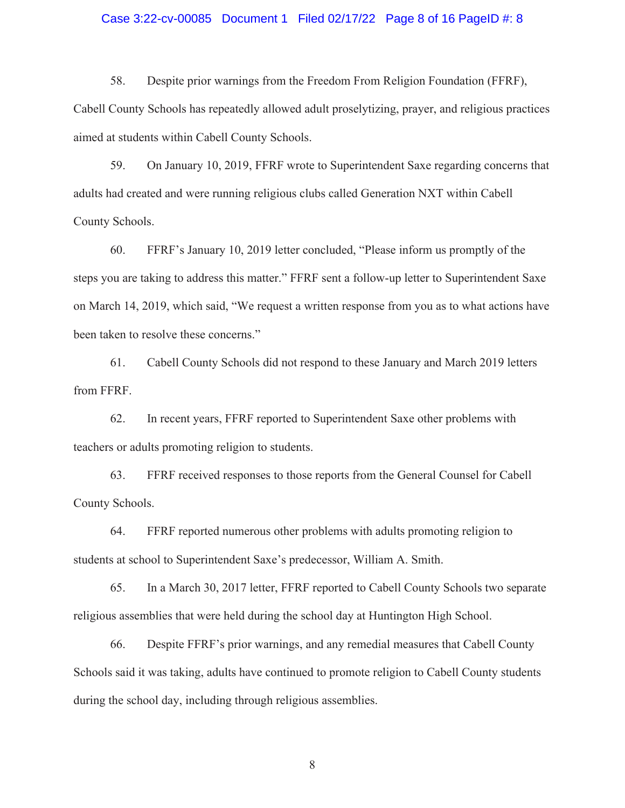## Case 3:22-cv-00085 Document 1 Filed 02/17/22 Page 8 of 16 PageID #: 8

58. Despite prior warnings from the Freedom From Religion Foundation (FFRF), Cabell County Schools has repeatedly allowed adult proselytizing, prayer, and religious practices aimed at students within Cabell County Schools.

59. On January 10, 2019, FFRF wrote to Superintendent Saxe regarding concerns that adults had created and were running religious clubs called Generation NXT within Cabell County Schools.

60. FFRF's January 10, 2019 letter concluded, "Please inform us promptly of the steps you are taking to address this matter." FFRF sent a follow-up letter to Superintendent Saxe on March 14, 2019, which said, "We request a written response from you as to what actions have been taken to resolve these concerns."

61. Cabell County Schools did not respond to these January and March 2019 letters from FFRF.

62. In recent years, FFRF reported to Superintendent Saxe other problems with teachers or adults promoting religion to students.

63. FFRF received responses to those reports from the General Counsel for Cabell County Schools.

64. FFRF reported numerous other problems with adults promoting religion to students at school to Superintendent Saxe's predecessor, William A. Smith.

65. In a March 30, 2017 letter, FFRF reported to Cabell County Schools two separate religious assemblies that were held during the school day at Huntington High School.

66. Despite FFRF's prior warnings, and any remedial measures that Cabell County Schools said it was taking, adults have continued to promote religion to Cabell County students during the school day, including through religious assemblies.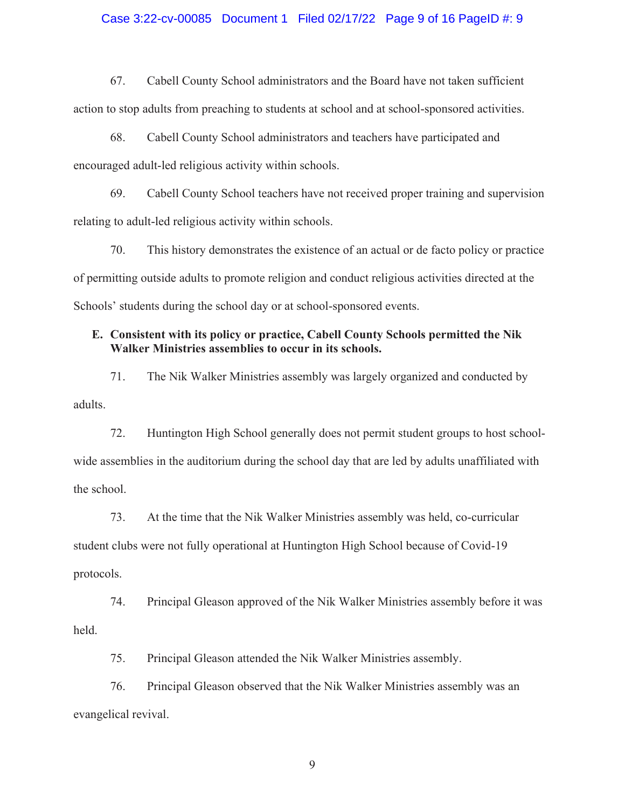## Case 3:22-cv-00085 Document 1 Filed 02/17/22 Page 9 of 16 PageID #: 9

67. Cabell County School administrators and the Board have not taken sufficient action to stop adults from preaching to students at school and at school-sponsored activities.

68. Cabell County School administrators and teachers have participated and encouraged adult-led religious activity within schools.

69. Cabell County School teachers have not received proper training and supervision relating to adult-led religious activity within schools.

70. This history demonstrates the existence of an actual or de facto policy or practice of permitting outside adults to promote religion and conduct religious activities directed at the Schools' students during the school day or at school-sponsored events.

# **E. Consistent with its policy or practice, Cabell County Schools permitted the Nik Walker Ministries assemblies to occur in its schools.**

71. The Nik Walker Ministries assembly was largely organized and conducted by adults.

72. Huntington High School generally does not permit student groups to host schoolwide assemblies in the auditorium during the school day that are led by adults unaffiliated with the school.

73. At the time that the Nik Walker Ministries assembly was held, co-curricular student clubs were not fully operational at Huntington High School because of Covid-19 protocols.

74. Principal Gleason approved of the Nik Walker Ministries assembly before it was held.

75. Principal Gleason attended the Nik Walker Ministries assembly.

76. Principal Gleason observed that the Nik Walker Ministries assembly was an evangelical revival.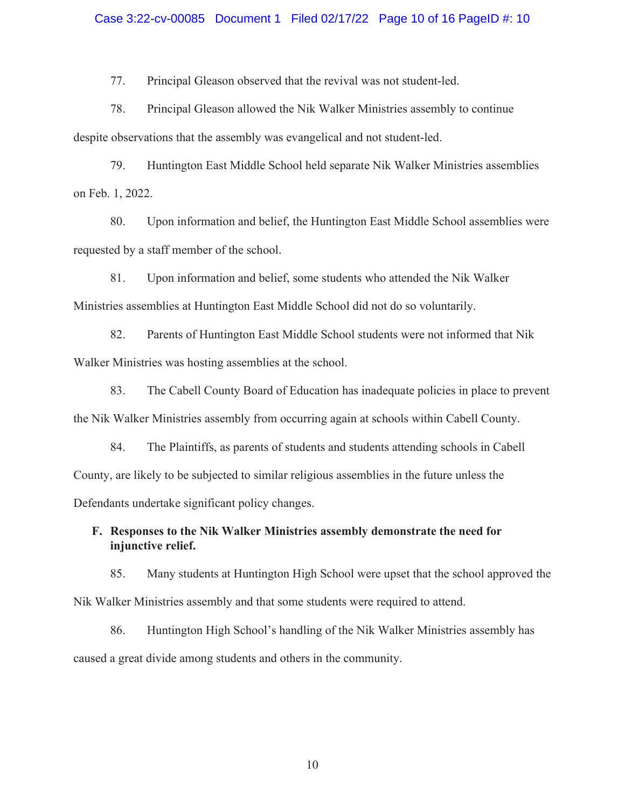#### Case 3:22-cv-00085 Document 1 Filed 02/17/22 Page 10 of 16 PageID #: 10

77. Principal Gleason observed that the revival was not student-led.

78. Principal Gleason allowed the Nik Walker Ministries assembly to continue despite observations that the assembly was evangelical and not student-led.

79. Huntington East Middle School held separate Nik Walker Ministries assemblies on Feb. 1, 2022.

80. Upon information and belief, the Huntington East Middle School assemblies were requested by a staff member of the school.

81. Upon information and belief, some students who attended the Nik Walker Ministries assemblies at Huntington East Middle School did not do so voluntarily.

82. Parents of Huntington East Middle School students were not informed that Nik Walker Ministries was hosting assemblies at the school.

83. The Cabell County Board of Education has inadequate policies in place to prevent the Nik Walker Ministries assembly from occurring again at schools within Cabell County.

84. The Plaintiffs, as parents of students and students attending schools in Cabell County, are likely to be subjected to similar religious assemblies in the future unless the Defendants undertake significant policy changes.

# **F. Responses to the Nik Walker Ministries assembly demonstrate the need for injunctive relief.**

85. Many students at Huntington High School were upset that the school approved the Nik Walker Ministries assembly and that some students were required to attend.

86. Huntington High School's handling of the Nik Walker Ministries assembly has caused a great divide among students and others in the community.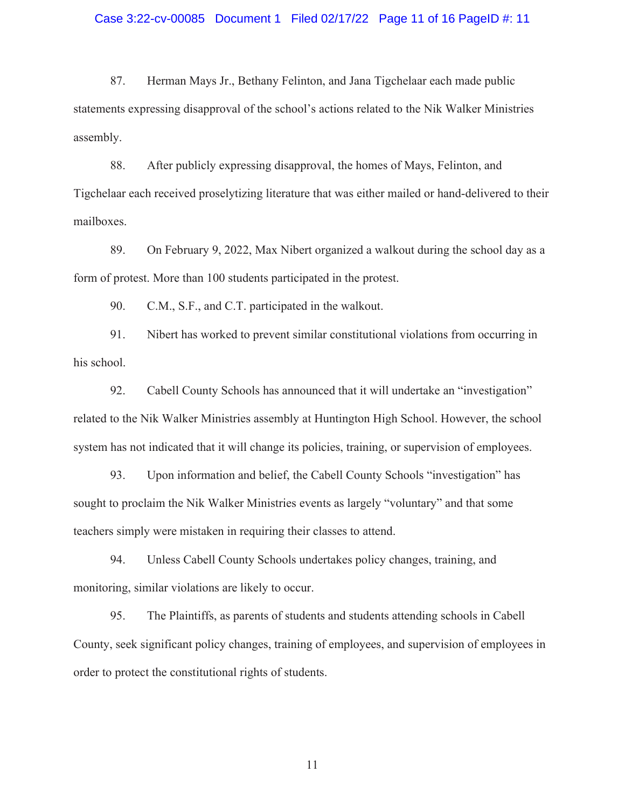### Case 3:22-cv-00085 Document 1 Filed 02/17/22 Page 11 of 16 PageID #: 11

87. Herman Mays Jr., Bethany Felinton, and Jana Tigchelaar each made public statements expressing disapproval of the school's actions related to the Nik Walker Ministries assembly.

88. After publicly expressing disapproval, the homes of Mays, Felinton, and Tigchelaar each received proselytizing literature that was either mailed or hand-delivered to their mailboxes.

89. On February 9, 2022, Max Nibert organized a walkout during the school day as a form of protest. More than 100 students participated in the protest.

90. C.M., S.F., and C.T. participated in the walkout.

91. Nibert has worked to prevent similar constitutional violations from occurring in his school.

92. Cabell County Schools has announced that it will undertake an "investigation" related to the Nik Walker Ministries assembly at Huntington High School. However, the school system has not indicated that it will change its policies, training, or supervision of employees.

93. Upon information and belief, the Cabell County Schools "investigation" has sought to proclaim the Nik Walker Ministries events as largely "voluntary" and that some teachers simply were mistaken in requiring their classes to attend.

94. Unless Cabell County Schools undertakes policy changes, training, and monitoring, similar violations are likely to occur.

95. The Plaintiffs, as parents of students and students attending schools in Cabell County, seek significant policy changes, training of employees, and supervision of employees in order to protect the constitutional rights of students.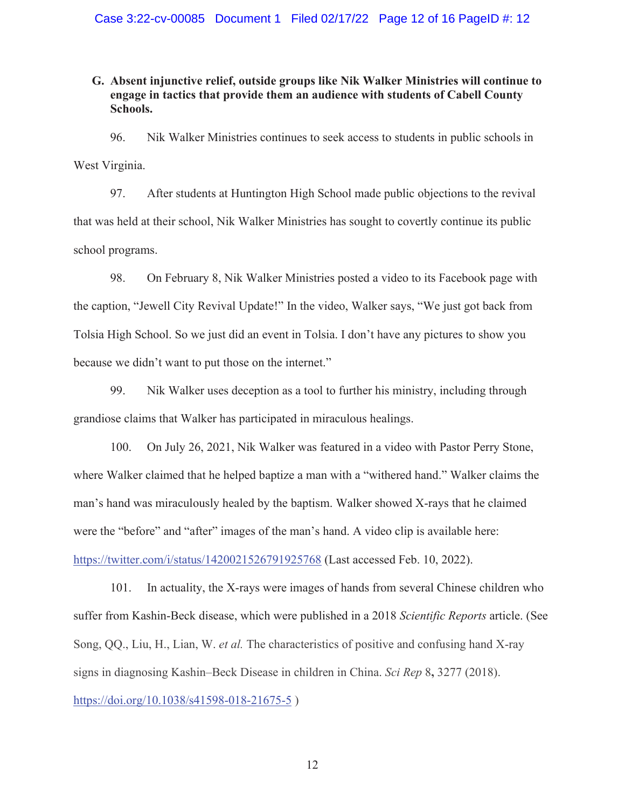# **G. Absent injunctive relief, outside groups like Nik Walker Ministries will continue to engage in tactics that provide them an audience with students of Cabell County Schools.**

96. Nik Walker Ministries continues to seek access to students in public schools in West Virginia.

97. After students at Huntington High School made public objections to the revival that was held at their school, Nik Walker Ministries has sought to covertly continue its public school programs.

98. On February 8, Nik Walker Ministries posted a video to its Facebook page with the caption, "Jewell City Revival Update!" In the video, Walker says, "We just got back from Tolsia High School. So we just did an event in Tolsia. I don't have any pictures to show you because we didn't want to put those on the internet."

99. Nik Walker uses deception as a tool to further his ministry, including through grandiose claims that Walker has participated in miraculous healings.

100. On July 26, 2021, Nik Walker was featured in a video with Pastor Perry Stone, where Walker claimed that he helped baptize a man with a "withered hand." Walker claims the man's hand was miraculously healed by the baptism. Walker showed X-rays that he claimed were the "before" and "after" images of the man's hand. A video clip is available here: https://twitter.com/i/status/1420021526791925768 (Last accessed Feb. 10, 2022).

101. In actuality, the X-rays were images of hands from several Chinese children who suffer from Kashin-Beck disease, which were published in a 2018 *Scientific Reports* article. (See Song, QQ., Liu, H., Lian, W. *et al.* The characteristics of positive and confusing hand X-ray signs in diagnosing Kashin–Beck Disease in children in China. *Sci Rep* 8**,** 3277 (2018). https://doi.org/10.1038/s41598-018-21675-5 )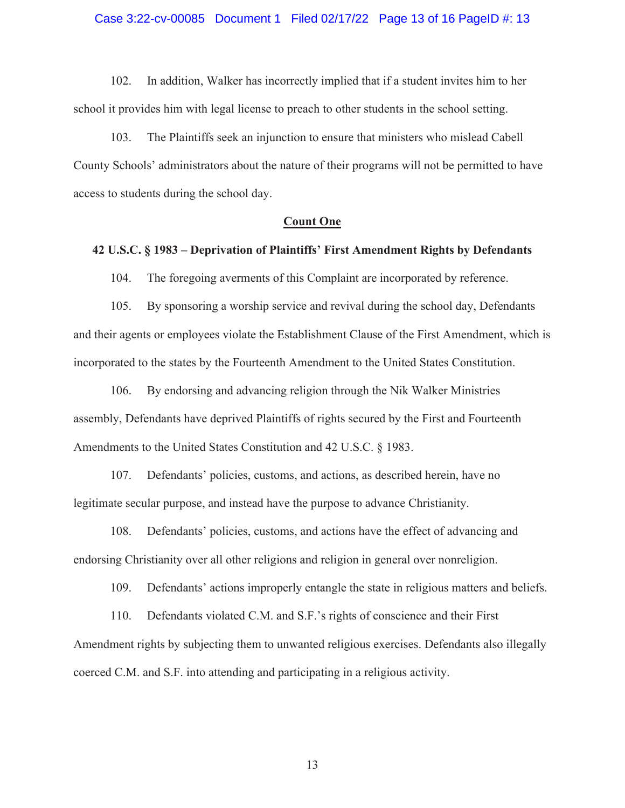#### Case 3:22-cv-00085 Document 1 Filed 02/17/22 Page 13 of 16 PageID #: 13

102. In addition, Walker has incorrectly implied that if a student invites him to her school it provides him with legal license to preach to other students in the school setting.

103. The Plaintiffs seek an injunction to ensure that ministers who mislead Cabell County Schools' administrators about the nature of their programs will not be permitted to have access to students during the school day.

### **Count One**

## **42 U.S.C. § 1983 – Deprivation of Plaintiffs' First Amendment Rights by Defendants**

104. The foregoing averments of this Complaint are incorporated by reference.

105. By sponsoring a worship service and revival during the school day, Defendants and their agents or employees violate the Establishment Clause of the First Amendment, which is incorporated to the states by the Fourteenth Amendment to the United States Constitution.

106. By endorsing and advancing religion through the Nik Walker Ministries assembly, Defendants have deprived Plaintiffs of rights secured by the First and Fourteenth Amendments to the United States Constitution and 42 U.S.C. § 1983.

107. Defendants' policies, customs, and actions, as described herein, have no legitimate secular purpose, and instead have the purpose to advance Christianity.

108. Defendants' policies, customs, and actions have the effect of advancing and endorsing Christianity over all other religions and religion in general over nonreligion.

109. Defendants' actions improperly entangle the state in religious matters and beliefs.

110. Defendants violated C.M. and S.F.'s rights of conscience and their First Amendment rights by subjecting them to unwanted religious exercises. Defendants also illegally coerced C.M. and S.F. into attending and participating in a religious activity.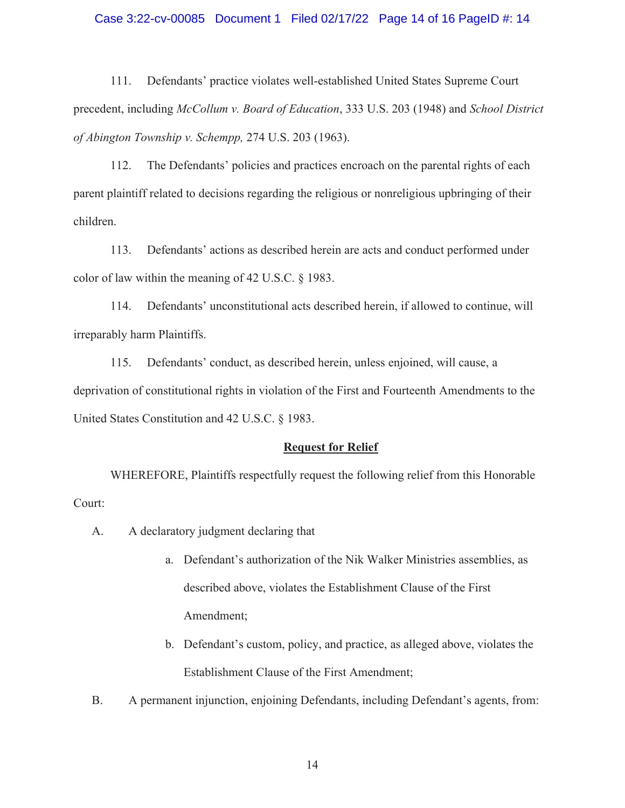## Case 3:22-cv-00085 Document 1 Filed 02/17/22 Page 14 of 16 PageID #: 14

111. Defendants' practice violates well-established United States Supreme Court precedent, including *McCollum v. Board of Education*, 333 U.S. 203 (1948) and *School District of Abington Township v. Schempp,* 274 U.S. 203 (1963).

112. The Defendants' policies and practices encroach on the parental rights of each parent plaintiff related to decisions regarding the religious or nonreligious upbringing of their children.

113. Defendants' actions as described herein are acts and conduct performed under color of law within the meaning of 42 U.S.C. § 1983.

114. Defendants' unconstitutional acts described herein, if allowed to continue, will irreparably harm Plaintiffs.

115. Defendants' conduct, as described herein, unless enjoined, will cause, a deprivation of constitutional rights in violation of the First and Fourteenth Amendments to the United States Constitution and 42 U.S.C. § 1983.

### **Request for Relief**

WHEREFORE, Plaintiffs respectfully request the following relief from this Honorable Court:

- A. A declaratory judgment declaring that
	- a. Defendant's authorization of the Nik Walker Ministries assemblies, as described above, violates the Establishment Clause of the First Amendment;
	- b. Defendant's custom, policy, and practice, as alleged above, violates the Establishment Clause of the First Amendment;
- B. A permanent injunction, enjoining Defendants, including Defendant's agents, from: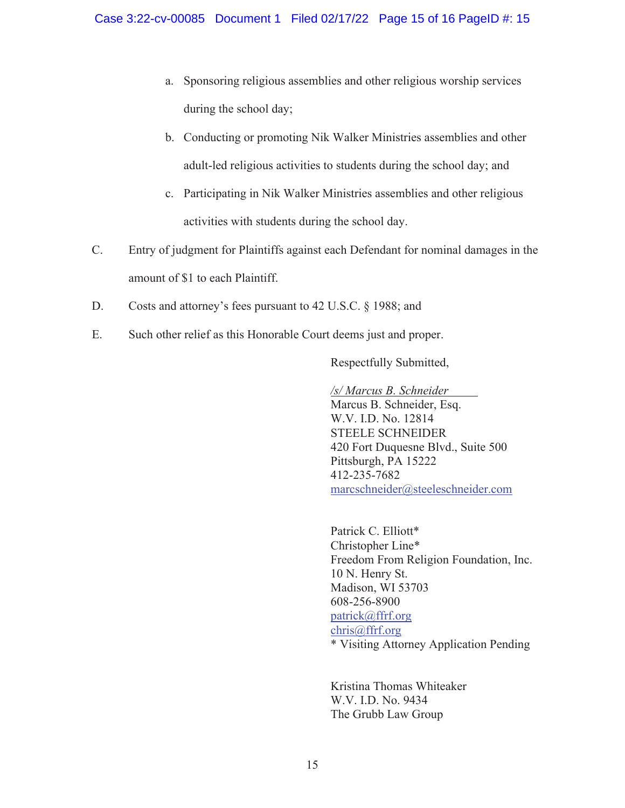- a. Sponsoring religious assemblies and other religious worship services during the school day;
- b. Conducting or promoting Nik Walker Ministries assemblies and other adult-led religious activities to students during the school day; and
- c. Participating in Nik Walker Ministries assemblies and other religious activities with students during the school day.
- C. Entry of judgment for Plaintiffs against each Defendant for nominal damages in the amount of \$1 to each Plaintiff.
- D. Costs and attorney's fees pursuant to 42 U.S.C. § 1988; and
- E. Such other relief as this Honorable Court deems just and proper.

Respectfully Submitted,

*/s/ Marcus B. Schneider* 

 Marcus B. Schneider, Esq. W.V. I.D. No. 12814 STEELE SCHNEIDER 420 Fort Duquesne Blvd., Suite 500 Pittsburgh, PA 15222 412-235-7682 marcschneider@steeleschneider.com

Patrick C. Elliott\* Christopher Line\* Freedom From Religion Foundation, Inc. 10 N. Henry St. Madison, WI 53703 608-256-8900 patrick@ffrf.org chris@ffrf.org \* Visiting Attorney Application Pending

 Kristina Thomas Whiteaker W.V. I.D. No. 9434 The Grubb Law Group